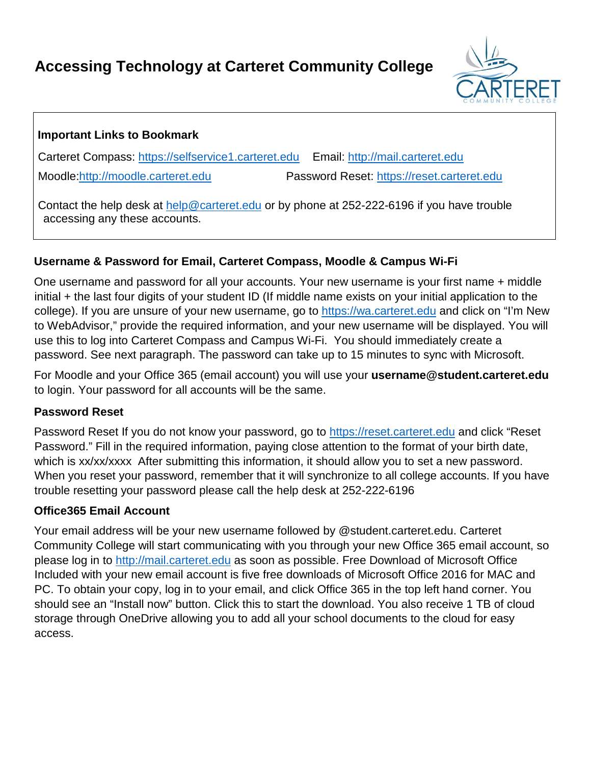# **Accessing Technology at Carteret Community College**



## **Important Links to Bookmark**

Carteret Compass: [https://selfservice1.carteret.edu](https://selfservice1.carteret.edu/) Email: [http://mail.carteret.edu](http://mail.carteret.edu/) Moodle[:http://moodle.carteret.edu](http://moodle.carteret.edu/) Password Reset: [https://reset.carteret.edu](https://reset.carteret.edu/)

Contact the help desk at help@carteret.edu or by phone at 252-222-6196 if you have trouble accessing any these accounts.

## **Username & Password for Email, Carteret Compass, Moodle & Campus Wi-Fi**

One username and password for all your accounts. Your new username is your first name + middle initial + the last four digits of your student ID (If middle name exists on your initial application to the college). If you are unsure of your new username, go to [https://wa.carteret.edu](https://wa.carteret.edu/) [a](https://wa.carteret.edu/)nd click on "I'm New to WebAdvisor," provide the required information, and your new username will be displayed. You will use this to log into Carteret Compass and Campus Wi-Fi. You should immediately create a password. See next paragraph. The password can take up to 15 minutes to sync with Microsoft.

For Moodle and your Office 365 (email account) you will use your **username@student.carteret.edu** to login. Your password for all accounts will be the same.

#### **Password Reset**

Password Reset If you do not know your password, go to [https://reset.carteret.edu](https://reset.carteret.edu/) and click "Reset Password." Fill in the required information, paying close attention to the format of your birth date, which is xx/xx/xxxx After submitting this information, it should allow you to set a new password. When you reset your password, remember that it will synchronize to all college accounts. If you have trouble resetting your password please call the help desk at 252-222-6196

#### **Office365 Email Account**

Your email address will be your new username followed by @student.carteret.edu. Carteret Community College will start communicating with you through your new Office 365 email account, so please log in to [http://mail.carteret.edu](http://mail.carteret.edu/) [a](http://mail.carteret.edu/)s soon as possible. Free Download of Microsoft Office Included with your new email account is five free downloads of Microsoft Office 2016 for MAC and PC. To obtain your copy, log in to your email, and click Office 365 in the top left hand corner. You should see an "Install now" button. Click this to start the download. You also receive 1 TB of cloud storage through OneDrive allowing you to add all your school documents to the cloud for easy access.